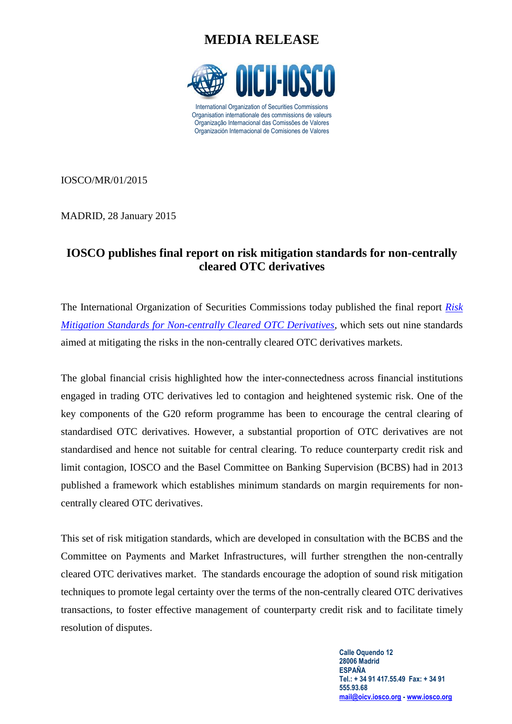# **MEDIA RELEASE**



IOSCO/MR/01/2015

MADRID, 28 January 2015

### **IOSCO publishes final report on risk mitigation standards for non-centrally cleared OTC derivatives**

The International Organization of Securities Commissions today published the final report *[Risk](http://www.iosco.org/library/pubdocs/pdf/IOSCOPD469.pdf)  [Mitigation Standards for Non-centrally Cleared OTC Derivatives,](http://www.iosco.org/library/pubdocs/pdf/IOSCOPD469.pdf)* which sets out nine standards aimed at mitigating the risks in the non-centrally cleared OTC derivatives markets.

The global financial crisis highlighted how the inter-connectedness across financial institutions engaged in trading OTC derivatives led to contagion and heightened systemic risk. One of the key components of the G20 reform programme has been to encourage the central clearing of standardised OTC derivatives. However, a substantial proportion of OTC derivatives are not standardised and hence not suitable for central clearing. To reduce counterparty credit risk and limit contagion, IOSCO and the Basel Committee on Banking Supervision (BCBS) had in 2013 published a framework which establishes minimum standards on margin requirements for noncentrally cleared OTC derivatives.

This set of risk mitigation standards, which are developed in consultation with the BCBS and the Committee on Payments and Market Infrastructures, will further strengthen the non-centrally cleared OTC derivatives market. The standards encourage the adoption of sound risk mitigation techniques to promote legal certainty over the terms of the non-centrally cleared OTC derivatives transactions, to foster effective management of counterparty credit risk and to facilitate timely resolution of disputes.

> **Calle Oquendo 12 28006 Madrid ESPAÑA Tel.: + 34 91 417.55.49 Fax: + 34 91 555.93.68 [mail@oicv.iosco.org](mailto:mail@oicv.iosco.org) - [www.iosco.org](http://www.iosco.org/)**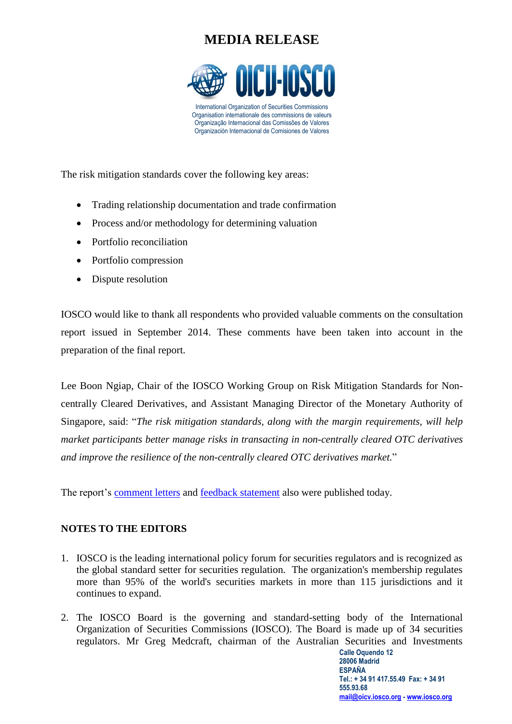# **MEDIA RELEASE**



The risk mitigation standards cover the following key areas:

- Trading relationship documentation and trade confirmation
- Process and/or methodology for determining valuation
- Portfolio reconciliation
- Portfolio compression
- Dispute resolution

IOSCO would like to thank all respondents who provided valuable comments on the consultation report issued in September 2014. These comments have been taken into account in the preparation of the final report.

Lee Boon Ngiap, Chair of the IOSCO Working Group on Risk Mitigation Standards for Noncentrally Cleared Derivatives, and Assistant Managing Director of the Monetary Authority of Singapore, said: "*The risk mitigation standards, along with the margin requirements, will help market participants better manage risks in transacting in non-centrally cleared OTC derivatives and improve the resilience of the non-centrally cleared OTC derivatives market.*"

The report's [comment letters](http://www.iosco.org/publications/?subsection=public_comment_letters&publicdocid=469) and [feedback statement](http://www.iosco.org/library/pubdocs/469/pdf/Feedback-Statement.pdf) also were published today.

#### **NOTES TO THE EDITORS**

- 1. IOSCO is the leading international policy forum for securities regulators and is recognized as the global standard setter for securities regulation. The organization's membership regulates more than 95% of the world's securities markets in more than 115 jurisdictions and it continues to expand.
- 2. The IOSCO Board is the governing and standard-setting body of the International Organization of Securities Commissions (IOSCO). The Board is made up of 34 securities regulators. Mr Greg Medcraft, chairman of the Australian Securities and Investments

**Calle Oquendo 12 28006 Madrid ESPAÑA Tel.: + 34 91 417.55.49 Fax: + 34 91 555.93.68 [mail@oicv.iosco.org](mailto:mail@oicv.iosco.org) - [www.iosco.org](http://www.iosco.org/)**